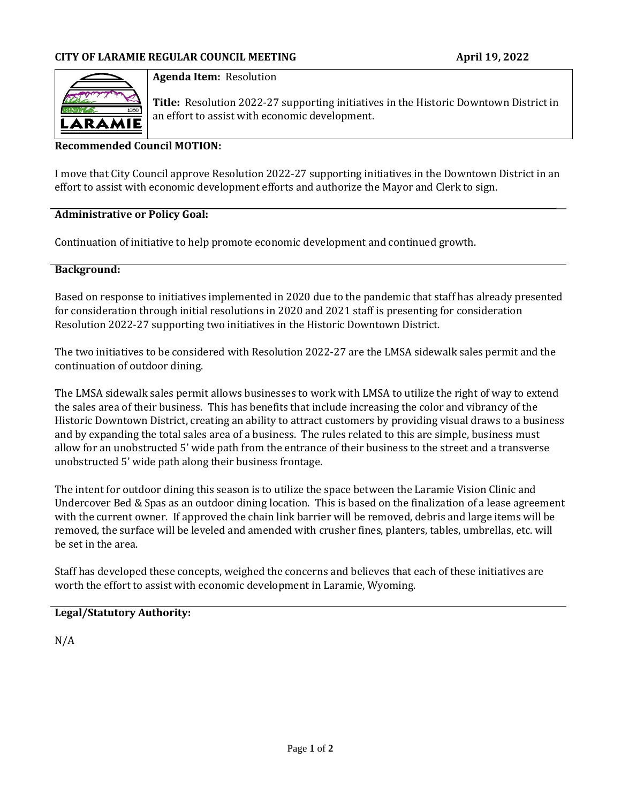

**Agenda Item:** Resolution

**Title:** Resolution 2022-27 supporting initiatives in the Historic Downtown District in an effort to assist with economic development.

### **Recommended Council MOTION:**

I move that City Council approve Resolution 2022-27 supporting initiatives in the Downtown District in an effort to assist with economic development efforts and authorize the Mayor and Clerk to sign.

#### **Administrative or Policy Goal:**

Continuation of initiative to help promote economic development and continued growth.

#### **Background:**

Based on response to initiatives implemented in 2020 due to the pandemic that staff has already presented for consideration through initial resolutions in 2020 and 2021 staff is presenting for consideration Resolution 2022-27 supporting two initiatives in the Historic Downtown District.

The two initiatives to be considered with Resolution 2022-27 are the LMSA sidewalk sales permit and the continuation of outdoor dining.

The LMSA sidewalk sales permit allows businesses to work with LMSA to utilize the right of way to extend the sales area of their business. This has benefits that include increasing the color and vibrancy of the Historic Downtown District, creating an ability to attract customers by providing visual draws to a business and by expanding the total sales area of a business. The rules related to this are simple, business must allow for an unobstructed 5' wide path from the entrance of their business to the street and a transverse unobstructed 5' wide path along their business frontage.

The intent for outdoor dining this season is to utilize the space between the Laramie Vision Clinic and Undercover Bed & Spas as an outdoor dining location. This is based on the finalization of a lease agreement with the current owner. If approved the chain link barrier will be removed, debris and large items will be removed, the surface will be leveled and amended with crusher fines, planters, tables, umbrellas, etc. will be set in the area.

Staff has developed these concepts, weighed the concerns and believes that each of these initiatives are worth the effort to assist with economic development in Laramie, Wyoming.

#### **Legal/Statutory Authority:**

N/A